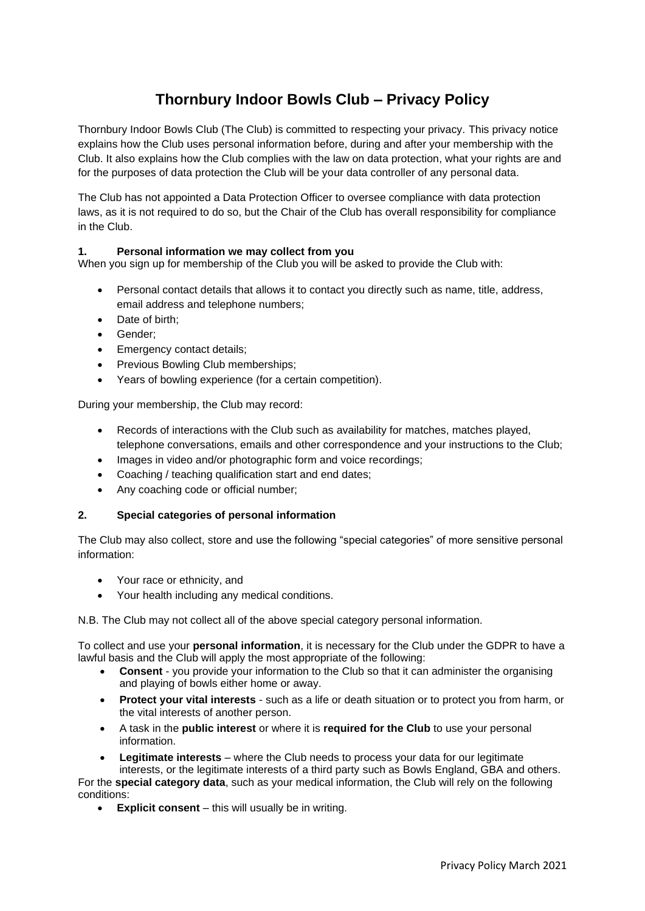# **Thornbury Indoor Bowls Club – Privacy Policy**

Thornbury Indoor Bowls Club (The Club) is committed to respecting your privacy. This privacy notice explains how the Club uses personal information before, during and after your membership with the Club. It also explains how the Club complies with the law on data protection, what your rights are and for the purposes of data protection the Club will be your data controller of any personal data.

The Club has not appointed a Data Protection Officer to oversee compliance with data protection laws, as it is not required to do so, but the Chair of the Club has overall responsibility for compliance in the Club.

## **1. Personal information we may collect from you**

When you sign up for membership of the Club you will be asked to provide the Club with:

- Personal contact details that allows it to contact you directly such as name, title, address, email address and telephone numbers;
- Date of birth;
- Gender;
- Emergency contact details;
- Previous Bowling Club memberships;
- Years of bowling experience (for a certain competition).

During your membership, the Club may record:

- Records of interactions with the Club such as availability for matches, matches played, telephone conversations, emails and other correspondence and your instructions to the Club;
- Images in video and/or photographic form and voice recordings;
- Coaching / teaching qualification start and end dates;
- Any coaching code or official number;

#### **2. Special categories of personal information**

The Club may also collect, store and use the following "special categories" of more sensitive personal information:

- Your race or ethnicity, and
- Your health including any medical conditions.

N.B. The Club may not collect all of the above special category personal information.

To collect and use your **personal information**, it is necessary for the Club under the GDPR to have a lawful basis and the Club will apply the most appropriate of the following:

- **Consent** you provide your information to the Club so that it can administer the organising and playing of bowls either home or away.
- **Protect your vital interests** such as a life or death situation or to protect you from harm, or the vital interests of another person.
- A task in the **public interest** or where it is **required for the Club** to use your personal information.
- **Legitimate interests** where the Club needs to process your data for our legitimate

interests, or the legitimate interests of a third party such as Bowls England, GBA and others. For the **special category data**, such as your medical information, the Club will rely on the following conditions:

• **Explicit consent** – this will usually be in writing.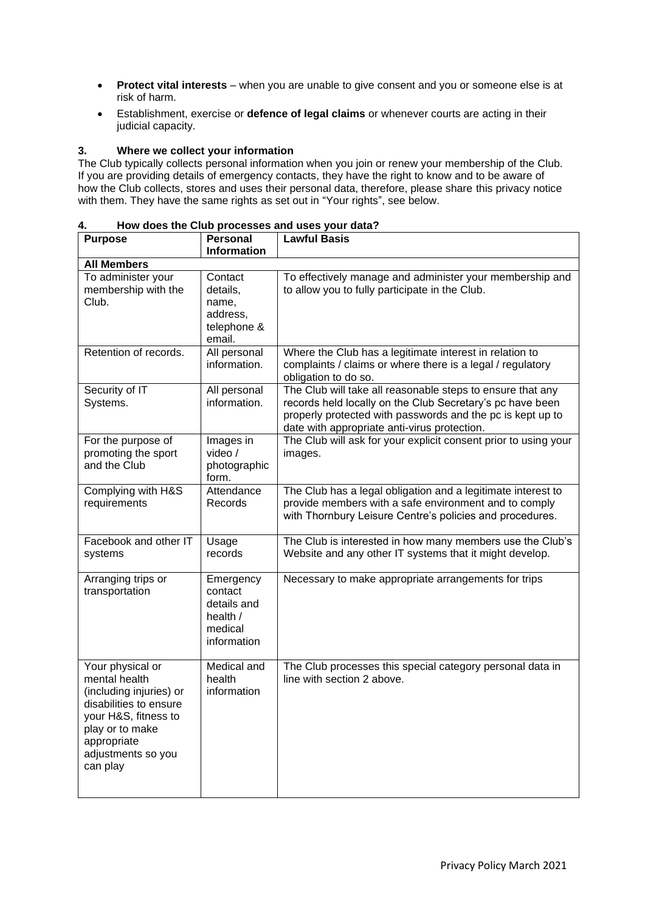- **Protect vital interests** when you are unable to give consent and you or someone else is at risk of harm.
- Establishment, exercise or **defence of legal claims** or whenever courts are acting in their judicial capacity.

## **3. Where we collect your information**

The Club typically collects personal information when you join or renew your membership of the Club. If you are providing details of emergency contacts, they have the right to know and to be aware of how the Club collects, stores and uses their personal data, therefore, please share this privacy notice with them. They have the same rights as set out in "Your rights", see below.

| 4. |  | How does the Club processes and uses your data? |  |  |
|----|--|-------------------------------------------------|--|--|
|    |  |                                                 |  |  |

| <b>Purpose</b>                                                                                                                                                                     | <b>Personal</b><br><b>Information</b>                                     | <b>Lawful Basis</b>                                                                                                                                                                                                                   |  |  |  |  |  |
|------------------------------------------------------------------------------------------------------------------------------------------------------------------------------------|---------------------------------------------------------------------------|---------------------------------------------------------------------------------------------------------------------------------------------------------------------------------------------------------------------------------------|--|--|--|--|--|
| <b>All Members</b>                                                                                                                                                                 |                                                                           |                                                                                                                                                                                                                                       |  |  |  |  |  |
| To administer your<br>membership with the<br>Club.                                                                                                                                 | Contact<br>details,<br>name,<br>address,<br>telephone &<br>email.         | To effectively manage and administer your membership and<br>to allow you to fully participate in the Club.                                                                                                                            |  |  |  |  |  |
| Retention of records.                                                                                                                                                              | All personal<br>information.                                              | Where the Club has a legitimate interest in relation to<br>complaints / claims or where there is a legal / regulatory<br>obligation to do so.                                                                                         |  |  |  |  |  |
| Security of IT<br>Systems.                                                                                                                                                         | All personal<br>information.                                              | The Club will take all reasonable steps to ensure that any<br>records held locally on the Club Secretary's pc have been<br>properly protected with passwords and the pc is kept up to<br>date with appropriate anti-virus protection. |  |  |  |  |  |
| For the purpose of<br>promoting the sport<br>and the Club                                                                                                                          | Images in<br>video /<br>photographic<br>form.                             | The Club will ask for your explicit consent prior to using your<br>images.                                                                                                                                                            |  |  |  |  |  |
| Complying with H&S<br>requirements                                                                                                                                                 | Attendance<br>Records                                                     | The Club has a legal obligation and a legitimate interest to<br>provide members with a safe environment and to comply<br>with Thornbury Leisure Centre's policies and procedures.                                                     |  |  |  |  |  |
| Facebook and other IT<br>systems                                                                                                                                                   | Usage<br>records                                                          | The Club is interested in how many members use the Club's<br>Website and any other IT systems that it might develop.                                                                                                                  |  |  |  |  |  |
| Arranging trips or<br>transportation                                                                                                                                               | Emergency<br>contact<br>details and<br>health /<br>medical<br>information | Necessary to make appropriate arrangements for trips                                                                                                                                                                                  |  |  |  |  |  |
| Your physical or<br>mental health<br>(including injuries) or<br>disabilities to ensure<br>your H&S, fitness to<br>play or to make<br>appropriate<br>adjustments so you<br>can play | Medical and<br>health<br>information                                      | The Club processes this special category personal data in<br>line with section 2 above.                                                                                                                                               |  |  |  |  |  |

 $\overline{\phantom{0}}$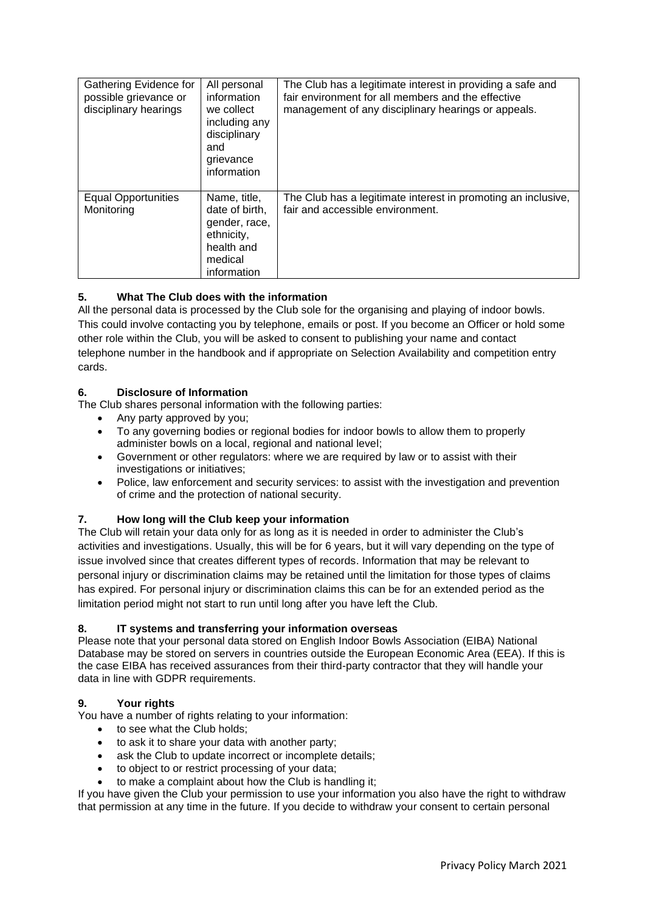| Gathering Evidence for<br>possible grievance or<br>disciplinary hearings | All personal<br>information<br>we collect<br>including any<br>disciplinary<br>and<br>grievance<br>information | The Club has a legitimate interest in providing a safe and<br>fair environment for all members and the effective<br>management of any disciplinary hearings or appeals. |
|--------------------------------------------------------------------------|---------------------------------------------------------------------------------------------------------------|-------------------------------------------------------------------------------------------------------------------------------------------------------------------------|
| <b>Equal Opportunities</b><br>Monitoring                                 | Name, title,<br>date of birth,<br>gender, race,<br>ethnicity,<br>health and<br>medical<br>information         | The Club has a legitimate interest in promoting an inclusive,<br>fair and accessible environment.                                                                       |

# **5. What The Club does with the information**

All the personal data is processed by the Club sole for the organising and playing of indoor bowls. This could involve contacting you by telephone, emails or post. If you become an Officer or hold some other role within the Club, you will be asked to consent to publishing your name and contact telephone number in the handbook and if appropriate on Selection Availability and competition entry cards.

# **6. Disclosure of Information**

The Club shares personal information with the following parties:

- Any party approved by you;
- To any governing bodies or regional bodies for indoor bowls to allow them to properly administer bowls on a local, regional and national level;
- Government or other regulators: where we are required by law or to assist with their investigations or initiatives;
- Police, law enforcement and security services: to assist with the investigation and prevention of crime and the protection of national security.

#### **7. How long will the Club keep your information**

The Club will retain your data only for as long as it is needed in order to administer the Club's activities and investigations. Usually, this will be for 6 years, but it will vary depending on the type of issue involved since that creates different types of records. Information that may be relevant to personal injury or discrimination claims may be retained until the limitation for those types of claims has expired. For personal injury or discrimination claims this can be for an extended period as the limitation period might not start to run until long after you have left the Club.

#### **8. IT systems and transferring your information overseas**

Please note that your personal data stored on English Indoor Bowls Association (EIBA) National Database may be stored on servers in countries outside the European Economic Area (EEA). If this is the case EIBA has received assurances from their third-party contractor that they will handle your data in line with GDPR requirements.

#### **9. Your rights**

You have a number of rights relating to your information:

- to see what the Club holds:
- to ask it to share your data with another party;
- ask the Club to update incorrect or incomplete details;
- to object to or restrict processing of your data;
- to make a complaint about how the Club is handling it;

If you have given the Club your permission to use your information you also have the right to withdraw that permission at any time in the future. If you decide to withdraw your consent to certain personal